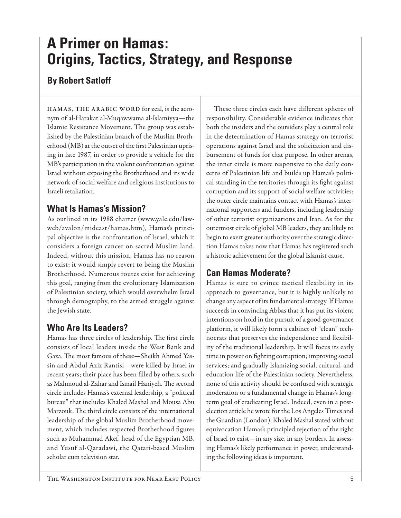# **A Primer on Hamas: Origins, Tactics, Strategy, and Response**

# **By Robert Satloff**

**HAMAS, THE ARABIC WORD** for zeal, is the acronym of al-Harakat al-Muqawwama al-Islamiyya—the Islamic Resistance Movement. The group was established by the Palestinian branch of the Muslim Brotherhood (MB) at the outset of the first Palestinian uprising in late 1987, in order to provide a vehicle for the MB's participation in the violent confrontation against Israel without exposing the Brotherhood and its wide network of social welfare and religious institutions to Israeli retaliation.

## **What Is Hamas's Mission?**

As outlined in its 1988 charter (www.yale.edu/lawweb/avalon/mideast/hamas.htm), Hamas's principal objective is the confrontation of Israel, which it considers a foreign cancer on sacred Muslim land. Indeed, without this mission, Hamas has no reason to exist; it would simply revert to being the Muslim Brotherhood. Numerous routes exist for achieving this goal, ranging from the evolutionary Islamization of Palestinian society, which would overwhelm Israel through demography, to the armed struggle against the Jewish state.

# **Who Are Its Leaders?**

Hamas has three circles of leadership. The first circle consists of local leaders inside the West Bank and Gaza. The most famous of these-Sheikh Ahmed Yassin and Abdul Aziz Rantisi—were killed by Israel in recent years; their place has been filled by others, such as Mahmoud al-Zahar and Ismail Haniyeh. The second circle includes Hamas's external leadership, a "political bureau" that includes Khaled Mashal and Mousa Abu Marzouk. The third circle consists of the international leadership of the global Muslim Brotherhood movement, which includes respected Brotherhood figures such as Muhammad Akef, head of the Egyptian MB, and Yusuf al-Qaradawi, the Qatari-based Muslim scholar cum television star.

These three circles each have different spheres of responsibility. Considerable evidence indicates that both the insiders and the outsiders play a central role in the determination of Hamas strategy on terrorist operations against Israel and the solicitation and disbursement of funds for that purpose. In other arenas, the inner circle is more responsive to the daily concerns of Palestinian life and builds up Hamas's political standing in the territories through its fight against corruption and its support of social welfare activities; the outer circle maintains contact with Hamas's international supporters and funders, including leadership of other terrorist organizations and Iran. As for the outermost circle of global MB leaders, they are likely to begin to exert greater authority over the strategic direction Hamas takes now that Hamas has registered such a historic achievement for the global Islamist cause.

# **Can Hamas Moderate?**

Hamas is sure to evince tactical flexibility in its approach to governance, but it is highly unlikely to change any aspect of its fundamental strategy. If Hamas succeeds in convincing Abbas that it has put its violent intentions on hold in the pursuit of a good-governance platform, it will likely form a cabinet of "clean" technocrats that preserves the independence and flexibility of the traditional leadership. It will focus its early time in power on fighting corruption; improving social services; and gradually Islamizing social, cultural, and education life of the Palestinian society. Nevertheless, none of this activity should be confused with strategic moderation or a fundamental change in Hamas's longterm goal of eradicating Israel. Indeed, even in a postelection article he wrote for the Los Angeles Times and the Guardian (London), Khaled Mashal stated without equivocation Hamas's principled rejection of the right of Israel to exist—in any size, in any borders. In assessing Hamas's likely performance in power, understanding the following ideas is important.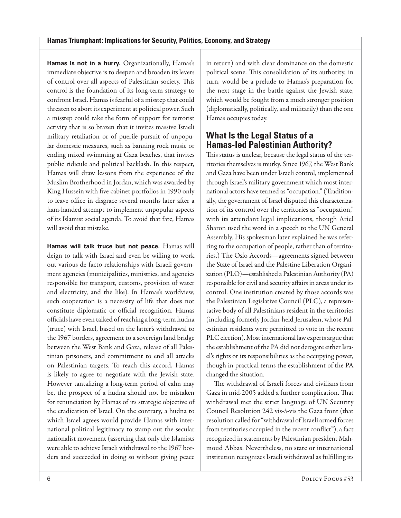Hamas Is not in a hurry. Organizationally, Hamas's immediate objective is to deepen and broaden its levers of control over all aspects of Palestinian society. This control is the foundation of its long-term strategy to confront Israel. Hamas is fearful of a misstep that could threaten to abort its experiment at political power. Such a misstep could take the form of support for terrorist activity that is so brazen that it invites massive Israeli military retaliation or of puerile pursuit of unpopular domestic measures, such as banning rock music or ending mixed swimming at Gaza beaches, that invites public ridicule and political backlash. In this respect, Hamas will draw lessons from the experience of the Muslim Brotherhood in Jordan, which was awarded by King Hussein with five cabinet portfolios in 1990 only to leave office in disgrace several months later after a ham-handed attempt to implement unpopular aspects of its Islamist social agenda. To avoid that fate, Hamas will avoid that mistake.

**Hamas will talk truce but not peace.** Hamas will deign to talk with Israel and even be willing to work out various de facto relationships with Israeli government agencies (municipalities, ministries, and agencies responsible for transport, customs, provision of water and electricity, and the like). In Hamas's worldview, such cooperation is a necessity of life that does not constitute diplomatic or official recognition. Hamas officials have even talked of reaching a long-term hudna (truce) with Israel, based on the latter's withdrawal to the 1967 borders, agreement to a sovereign land bridge between the West Bank and Gaza, release of all Palestinian prisoners, and commitment to end all attacks on Palestinian targets. To reach this accord, Hamas is likely to agree to negotiate with the Jewish state. However tantalizing a long-term period of calm may be, the prospect of a hudna should not be mistaken for renunciation by Hamas of its strategic objective of the eradication of Israel. On the contrary, a hudna to which Israel agrees would provide Hamas with international political legitimacy to stamp out the secular nationalist movement (asserting that only the Islamists were able to achieve Israeli withdrawal to the 1967 borders and succeeded in doing so without giving peace

in return) and with clear dominance on the domestic political scene. This consolidation of its authority, in turn, would be a prelude to Hamas's preparation for the next stage in the battle against the Jewish state, which would be fought from a much stronger position (diplomatically, politically, and militarily) than the one Hamas occupies today.

### **What Is the Legal Status of a Hamas-led Palestinian Authority?**

This status is unclear, because the legal status of the territories themselves is murky. Since 1967, the West Bank and Gaza have been under Israeli control, implemented through Israel's military government which most international actors have termed as "occupation." (Traditionally, the government of Israel disputed this characterization of its control over the territories as "occupation," with its attendant legal implications, though Ariel Sharon used the word in a speech to the UN General Assembly. His spokesman later explained he was referring to the occupation of people, rather than of territories.) The Oslo Accords—agreements signed between the State of Israel and the Palestine Liberation Organization (PLO)—established a Palestinian Authority (PA) responsible for civil and security affairs in areas under its control. One institution created by those accords was the Palestinian Legislative Council (PLC), a representative body of all Palestinians resident in the territories (including formerly Jordan-held Jerusalem, whose Palestinian residents were permitted to vote in the recent PLC election). Most international law experts argue that the establishment of the PA did not derogate either Israel's rights or its responsibilities as the occupying power, though in practical terms the establishment of the PA changed the situation.

The withdrawal of Israeli forces and civilians from Gaza in mid-2005 added a further complication. That withdrawal met the strict language of UN Security Council Resolution 242 vis-à-vis the Gaza front (that resolution called for "withdrawal of Israeli armed forces from territories occupied in the recent conflict"), a fact recognized in statements by Palestinian president Mahmoud Abbas. Nevertheless, no state or international institution recognizes Israeli withdrawal as fulfilling its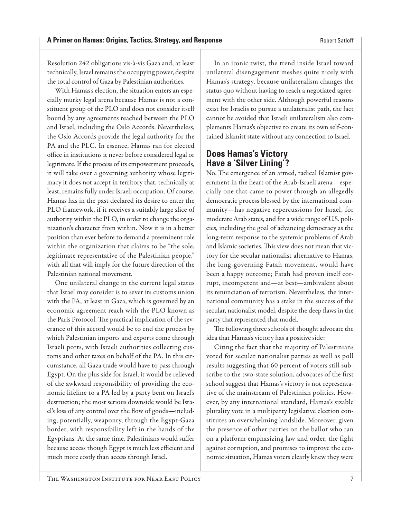Resolution 242 obligations vis-à-vis Gaza and, at least technically, Israel remains the occupying power, despite the total control of Gaza by Palestinian authorities.

With Hamas's election, the situation enters an especially murky legal arena because Hamas is not a constituent group of the PLO and does not consider itself bound by any agreements reached between the PLO and Israel, including the Oslo Accords. Nevertheless, the Oslo Accords provide the legal authority for the PA and the PLC. In essence, Hamas ran for elected office in institutions it never before considered legal or legitimate. If the process of its empowerment proceeds, it will take over a governing authority whose legitimacy it does not accept in territory that, technically at least, remains fully under Israeli occupation. Of course, Hamas has in the past declared its desire to enter the PLO framework, if it receives a suitably large slice of authority within the PLO, in order to change the organization's character from within. Now it is in a better position than ever before to demand a preeminent role within the organization that claims to be "the sole, legitimate representative of the Palestinian people," with all that will imply for the future direction of the Palestinian national movement.

One unilateral change in the current legal status that Israel may consider is to sever its customs union with the PA, at least in Gaza, which is governed by an economic agreement reach with the PLO known as the Paris Protocol. The practical implication of the severance of this accord would be to end the process by which Palestinian imports and exports come through Israeli ports, with Israeli authorities collecting customs and other taxes on behalf of the PA. In this circumstance, all Gaza trade would have to pass through Egypt. On the plus side for Israel, it would be relieved of the awkward responsibility of providing the economic lifeline to a PA led by a party bent on Israel's destruction; the most serious downside would be Israel's loss of any control over the flow of goods-including, potentially, weaponry, through the Egypt-Gaza border, with responsibility left in the hands of the Egyptians. At the same time, Palestinians would suffer because access though Egypt is much less efficient and much more costly than access through Israel.

In an ironic twist, the trend inside Israel toward unilateral disengagement meshes quite nicely with Hamas's strategy, because unilateralism changes the status quo without having to reach a negotiated agreement with the other side. Although powerful reasons exist for Israelis to pursue a unilateralist path, the fact cannot be avoided that Israeli unilateralism also complements Hamas's objective to create its own self-contained Islamist state without any connection to Israel.

## **Does Hamas's Victory Have a 'Silver Lining'?**

No. The emergence of an armed, radical Islamist government in the heart of the Arab-Israeli arena—especially one that came to power through an allegedly democratic process blessed by the international community—has negative repercussions for Israel, for moderate Arab states, and for a wide range of U.S. policies, including the goal of advancing democracy as the long-term response to the systemic problems of Arab and Islamic societies. This view does not mean that victory for the secular nationalist alternative to Hamas, the long-governing Fatah movement, would have been a happy outcome; Fatah had proven itself corrupt, incompetent and—at best—ambivalent about its renunciation of terrorism. Nevertheless, the international community has a stake in the success of the secular, nationalist model, despite the deep flaws in the party that represented that model.

The following three schools of thought advocate the idea that Hamas's victory has a positive side:

Citing the fact that the majority of Palestinians voted for secular nationalist parties as well as poll results suggesting that 60 percent of voters still subscribe to the two-state solution, advocates of the first school suggest that Hamas's victory is not representative of the mainstream of Palestinian politics. However, by any international standard, Hamas's sizable plurality vote in a multiparty legislative election constitutes an overwhelming landslide. Moreover, given the presence of other parties on the ballot who ran on a platform emphasizing law and order, the fight against corruption, and promises to improve the economic situation, Hamas voters clearly knew they were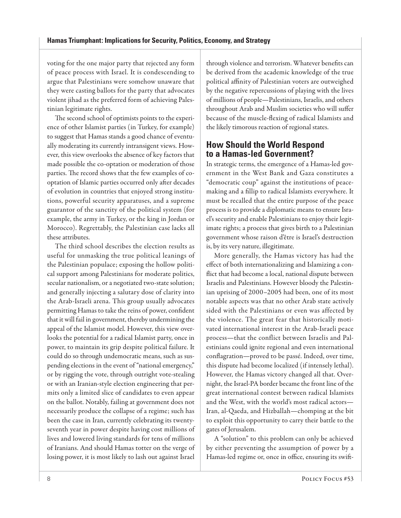voting for the one major party that rejected any form of peace process with Israel. It is condescending to argue that Palestinians were somehow unaware that they were casting ballots for the party that advocates violent jihad as the preferred form of achieving Palestinian legitimate rights.

The second school of optimists points to the experience of other Islamist parties (in Turkey, for example) to suggest that Hamas stands a good chance of eventually moderating its currently intransigent views. However, this view overlooks the absence of key factors that made possible the co-optation or moderation of those parties. The record shows that the few examples of cooptation of Islamic parties occurred only after decades of evolution in countries that enjoyed strong institutions, powerful security apparatuses, and a supreme guarantor of the sanctity of the political system (for example, the army in Turkey, or the king in Jordan or Morocco). Regrettably, the Palestinian case lacks all these attributes.

The third school describes the election results as useful for unmasking the true political leanings of the Palestinian populace; exposing the hollow political support among Palestinians for moderate politics, secular nationalism, or a negotiated two-state solution; and generally injecting a salutary dose of clarity into the Arab-Israeli arena. This group usually advocates permitting Hamas to take the reins of power, confident that it will fail in government, thereby undermining the appeal of the Islamist model. However, this view overlooks the potential for a radical Islamist party, once in power, to maintain its grip despite political failure. It could do so through undemocratic means, such as suspending elections in the event of "national emergency," or by rigging the vote, through outright vote-stealing or with an Iranian-style election engineering that permits only a limited slice of candidates to even appear on the ballot. Notably, failing at government does not necessarily produce the collapse of a regime; such has been the case in Iran, currently celebrating its twentyseventh year in power despite having cost millions of lives and lowered living standards for tens of millions of Iranians. And should Hamas totter on the verge of losing power, it is most likely to lash out against Israel

through violence and terrorism. Whatever benefits can be derived from the academic knowledge of the true political affinity of Palestinian voters are outweighed by the negative repercussions of playing with the lives of millions of people—Palestinians, Israelis, and others throughout Arab and Muslim societies who will suffer because of the muscle-flexing of radical Islamists and the likely timorous reaction of regional states.

### **How Should the World Respond to a Hamas-led Government?**

In strategic terms, the emergence of a Hamas-led government in the West Bank and Gaza constitutes a "democratic coup" against the institutions of peacemaking and a fillip to radical Islamists everywhere. It must be recalled that the entire purpose of the peace process is to provide a diplomatic means to ensure Israel's security and enable Palestinians to enjoy their legitimate rights; a process that gives birth to a Palestinian government whose raison d'être is Israel's destruction is, by its very nature, illegitimate.

More generally, the Hamas victory has had the effect of both internationalizing and Islamizing a conflict that had become a local, national dispute between Israelis and Palestinians. However bloody the Palestinian uprising of 2000–2005 had been, one of its most notable aspects was that no other Arab state actively sided with the Palestinians or even was affected by the violence. The great fear that historically motivated international interest in the Arab-Israeli peace process—that the conflict between Israelis and Palestinians could ignite regional and even international conflagration—proved to be passé. Indeed, over time, this dispute had become localized (if intensely lethal). However, the Hamas victory changed all that. Overnight, the Israel-PA border became the front line of the great international contest between radical Islamists and the West, with the world's most radical actors— Iran, al-Qaeda, and Hizballah—chomping at the bit to exploit this opportunity to carry their battle to the gates of Jerusalem.

A "solution" to this problem can only be achieved by either preventing the assumption of power by a Hamas-led regime or, once in office, ensuring its swift